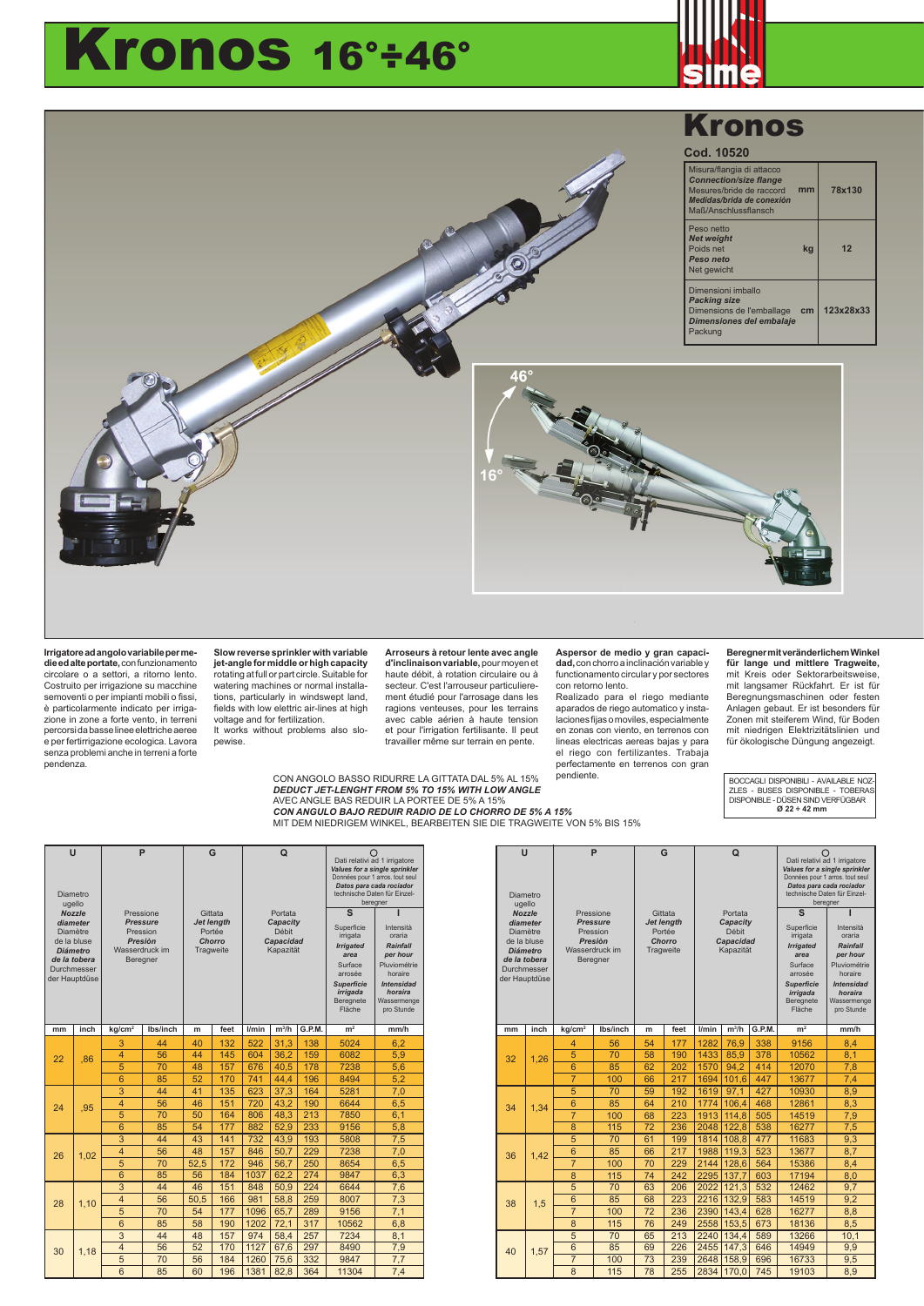## Kronos 16°÷46°





**Irrigatore ad angolo variabile per medie ed alte portate,** con funzionamento circolare o a settori, a ritorno lento. Costruito per irrigazione su macchine semoventi o per impianti mobili o fissi, è particolarmente indicato per irriga-zione in zone a forte vento, in terreni percorsi da basse linee elettriche aeree e per fertirrigazione ecologica. Lavora senza problemi anche in terreni a forte pendenza.

**Slow reverse sprinkler with variable jet-angle for middle or high capacity**  rotating at full or part circle. Suitable for watering machines or normal installations, particularly in windswept land, fields with low elettric air-lines at high voltage and for fertilization.

It works without problems also slopewise.

**Arroseurs à retour lente avec angle d'inclinaison variable,** pour moyen et haute débit, à rotation circulaire ou à secteur. C'est l'arrouseur particulierement étudié pour l'arrosage dans les ragions venteuses, pour les terrains avec cable aérien à haute tension et pour l'irrigation fertilisante. Il peut travailler même sur terrain en pente.

MIT DEM NIEDRIGEM WINKEL, BEARBEITEN SIE DIE TRAGWEITE VON 5% BIS 15%

CON ANGOLO BASSO RIDURRE LA GITTATA DAL 5% AL 15% *DEDUCT JET-LENGHT FROM 5% TO 15% WITH LOW ANGLE* AVEC ANGLE BAS REDUIR LA PORTEE DE 5% A 15% *CON ANGULO BAJO REDUIR RADIO DE LO CHORRO DE 5% A 15%*

**Aspersor de medio y gran capacidad,** con chorro a inclinación variable y functionamento circular y por sectores

con retorno lento. Realizado para el riego mediante aparados de riego automatico y insta-laciones fijasomoviles,especialmente en zonas con viento, en terrenos con lineas electricas aereas bajas y para el riego con fertilizantes. Trabaja perfectamente en terrenos con gran<br>pendiente.

**Beregner mit veränderlichem Winkel für lange und mittlere Tragweite,** mit Kreis oder Sektorarbeitsweise, mit langsamer Rückfahrt. Er ist für Beregnungsmaschinen oder festen Anlagen gebaut. Er ist besonders für Zonen mit steiferem Wind, für Boden mit niedrigen Elektrizitätslinien und für ökologische Düngung angezeigt.

pendiente. BOCCAGLI DISPONIBILI - AVAILABLE NOZ-ZLES - BUSES DISPONIBLE - TOBERAS DISPONIBLE - DÜSEN SIND VERFÜGBAR **Ø 22 ÷ 42 mm**

| $\cup$<br>Diametro<br>ugello                                                                                  |               | P                                                                    |          | G                                           |      |                                             | $\Omega$ |        | Dati relativi ad 1 irrigatore<br>Values for a single sprinkler<br>Données pour 1 arros. tout seul<br>Datos para cada rociador<br>technische Daten für Einzel-<br>beregner |                                                                               |  |
|---------------------------------------------------------------------------------------------------------------|---------------|----------------------------------------------------------------------|----------|---------------------------------------------|------|---------------------------------------------|----------|--------|---------------------------------------------------------------------------------------------------------------------------------------------------------------------------|-------------------------------------------------------------------------------|--|
|                                                                                                               |               | Pressione                                                            |          | Gittata                                     |      | Portata                                     |          |        | $\mathbf{s}$                                                                                                                                                              |                                                                               |  |
| <b>Nozzle</b><br>diameter<br><b>Diamètre</b><br>de la bluse<br><b>Diámetro</b><br>de la tobera<br>Durchmesser |               | <b>Pressure</b><br>Pression<br>Presión<br>Wasserdruck im<br>Beregner |          | Jet length<br>Portée<br>Chorro<br>Tragweite |      | Capacity<br>Débit<br>Capacidad<br>Kapazität |          |        | Superficie<br>irrigata<br><b>Irrigated</b><br>area<br>Surface<br>arrosée                                                                                                  | Intensità<br>oraria<br><b>Rainfall</b><br>per hour<br>Pluviométrie<br>horaire |  |
|                                                                                                               | der Hauptdüse |                                                                      |          |                                             |      |                                             |          |        | <b>Superficie</b><br>irrigada<br>Beregnete<br>Fläche                                                                                                                      | <b>Intensidad</b><br>horaira<br>Wassermenge<br>pro Stunde                     |  |
| mm                                                                                                            | inch          | kg/cm <sup>2</sup>                                                   | Ibs/inch | m                                           | feet | l/min                                       | $m^3/h$  | G.P.M. | m <sup>2</sup>                                                                                                                                                            | mm/h                                                                          |  |
|                                                                                                               |               | 3                                                                    | 44       | 40                                          | 132  | 522                                         | 31.3     | 138    | 5024                                                                                                                                                                      | 6.2                                                                           |  |
| 22                                                                                                            | .86           | 4                                                                    | 56       | 44                                          | 145  | 604                                         | 36.2     | 159    | 6082                                                                                                                                                                      | 5,9                                                                           |  |
|                                                                                                               |               | 5                                                                    | 70       | 48                                          | 157  | 676                                         | 40,5     | 178    | 7238                                                                                                                                                                      | 5.6                                                                           |  |
|                                                                                                               |               | 6                                                                    | 85       | 52                                          | 170  | 741                                         | 44.4     | 196    | 8494                                                                                                                                                                      | 5.2                                                                           |  |
|                                                                                                               |               | 3                                                                    | 44       | 41                                          | 135  | 623                                         | 37,3     | 164    | 5281                                                                                                                                                                      | 7,0                                                                           |  |
| 24                                                                                                            | .95           | 4                                                                    | 56       | 46                                          | 151  | 720                                         | 43,2     | 190    | 6644                                                                                                                                                                      | 6,5                                                                           |  |
|                                                                                                               |               | 5                                                                    | 70       | 50                                          | 164  | 806                                         | 48,3     | 213    | 7850                                                                                                                                                                      | 6,1                                                                           |  |
|                                                                                                               |               | 6                                                                    | 85       | 54                                          | 177  | 882                                         | 52,9     | 233    | 9156                                                                                                                                                                      | 5.8                                                                           |  |
|                                                                                                               |               | $\overline{3}$                                                       | 44       | 43                                          | 141  | 732                                         | 43,9     | 193    | 5808                                                                                                                                                                      | 7,5                                                                           |  |
| 26                                                                                                            | 1.02          | $\overline{4}$                                                       | 56       | 48                                          | 157  | 846                                         | 50,7     | 229    | 7238                                                                                                                                                                      | 7,0                                                                           |  |
|                                                                                                               |               | 5                                                                    | 70       | 52.5                                        | 172  | 946                                         | 56.7     | 250    | 8654                                                                                                                                                                      | 6.5                                                                           |  |
|                                                                                                               |               | 6                                                                    | 85       | 56                                          | 184  | 1037                                        | 62.2     | 274    | 9847                                                                                                                                                                      | 6.3                                                                           |  |
|                                                                                                               |               | $\overline{3}$                                                       | 44       | 46                                          | 151  | 848                                         | 50,9     | 224    | 6644                                                                                                                                                                      | 7.6                                                                           |  |
| 28                                                                                                            | 1.10          | $\overline{4}$                                                       | 56       | 50,5                                        | 166  | 981                                         | 58.8     | 259    | 8007                                                                                                                                                                      | 7,3                                                                           |  |
|                                                                                                               |               | 5                                                                    | 70       | 54                                          | 177  | 1096                                        | 65,7     | 289    | 9156                                                                                                                                                                      | 7.1                                                                           |  |
|                                                                                                               |               | 6                                                                    | 85       | 58                                          | 190  | 1202                                        | 72.1     | 317    | 10562                                                                                                                                                                     | 6.8                                                                           |  |
|                                                                                                               |               | 3                                                                    | 44       | 48                                          | 157  | 974                                         | 58.4     | 257    | 7234                                                                                                                                                                      | 8,1                                                                           |  |
| 30                                                                                                            | 1,18          | $\overline{4}$                                                       | 56       | 52                                          | 170  | 1127                                        | 67.6     | 297    | 8490                                                                                                                                                                      | 7,9                                                                           |  |
|                                                                                                               |               | 5                                                                    | 70       | 56                                          | 184  | 1260                                        | 75.6     | 332    | 9847                                                                                                                                                                      | 7,7                                                                           |  |
|                                                                                                               | 6             | 85                                                                   | 60       | 196                                         | 1381 | 82.8                                        | 364      | 11304  | 7.4                                                                                                                                                                       |                                                                               |  |

| Ü        |                             |                             | P               |                             | G    |                   | $\Omega$          |        |                                                          |                                                                |     |
|----------|-----------------------------|-----------------------------|-----------------|-----------------------------|------|-------------------|-------------------|--------|----------------------------------------------------------|----------------------------------------------------------------|-----|
|          |                             |                             |                 |                             |      |                   |                   |        |                                                          | Dati relativi ad 1 irrigatore<br>Values for a single sprinkler |     |
|          |                             |                             |                 |                             |      |                   |                   |        | Données pour 1 arros. tout seul                          |                                                                |     |
| Diametro |                             |                             |                 |                             |      |                   |                   |        | Datos para cada rociador<br>technische Daten für Einzel- |                                                                |     |
|          | ugello                      |                             |                 |                             |      |                   |                   |        | beregner                                                 |                                                                |     |
|          | <b>Nozzle</b>               | Pressione                   |                 | Gittata                     |      | Portata           |                   |        | $\overline{\mathbf{s}}$                                  |                                                                |     |
|          | diameter<br>Diamètre        | <b>Pressure</b><br>Pression |                 | <b>Jet length</b><br>Portée |      | Capacity<br>Débit |                   |        | Superficie                                               | Intensità                                                      |     |
|          | de la bluse                 | Presión                     |                 | Chorro                      |      | <b>Capacidad</b>  |                   |        | irrigata                                                 | oraria                                                         |     |
|          | <b>Diámetro</b>             | Wasserdruck im              |                 | Tragweite                   |      | Kapazität         |                   |        | <b>Irrigated</b><br>area                                 | <b>Rainfall</b><br>per hour                                    |     |
|          | de la tobera<br>Durchmesser |                             | Beregner        |                             |      |                   |                   |        | Surface<br>arrosée                                       | Pluviométrie<br>horaire                                        |     |
|          | der Hauptdüse               |                             |                 |                             |      |                   |                   |        | <b>Superficie</b>                                        | <b>Intensidad</b>                                              |     |
|          |                             |                             |                 |                             |      |                   |                   |        | irrigada                                                 | horaira                                                        |     |
|          |                             |                             |                 |                             |      |                   |                   |        | Beregnete                                                | Wassermenge                                                    |     |
|          |                             |                             |                 |                             |      |                   |                   |        | Fläche                                                   | pro Stunde                                                     |     |
| mm       | inch                        | kg/cm <sup>2</sup>          | lbs/inch        | m                           | feet | l/min             | m <sup>3</sup> /h | G.P.M. | m <sup>2</sup>                                           | mm/h                                                           |     |
|          |                             | 4                           | 56              | 54                          | 177  | 1282              | 76.9              | 338    | 9156                                                     | 8,4                                                            |     |
| 32       | 1.26                        | 5                           | 70              | 58                          | 190  | 1433              | 85.9              | 378    | 10562                                                    | 8,1                                                            |     |
|          |                             | 6                           | 85              | 62                          | 202  | 1570              | 94.2              | 414    | 12070                                                    | 7,8                                                            |     |
|          |                             | $\overline{7}$              | 100             | 66                          | 217  | 1694              | 101.6             | 447    | 13677                                                    | 7,4                                                            |     |
|          |                             | $\overline{5}$              | 70              | 59                          | 192  | 1619              | 97.1              | 427    | 10930                                                    | 8.9                                                            |     |
| 34       | 1.34                        | 6                           | 85              | 64                          | 210  | 1774              | 106.4             | 468    | 12861                                                    | 8.3                                                            |     |
|          |                             | $\overline{7}$              | 100             | 68                          | 223  | 1913              | 114.8             | 505    | 14519                                                    | 7.9                                                            |     |
|          |                             | 8                           | 115             | 72                          | 236  | 2048              | 122,8             | 538    | 16277                                                    | 7,5                                                            |     |
|          |                             | $\overline{5}$              | $\overline{70}$ | 61                          | 199  | 1814              | 108,8             | 477    | 11683                                                    | 9,3                                                            |     |
| 36       |                             | 1.42                        | 6               | 85                          | 66   | 217               | 1988              | 119.3  | 523                                                      | 13677                                                          | 8,7 |
|          |                             | $\overline{7}$              | 100             | 70                          | 229  | 2144              | 128.6             | 564    | 15386                                                    | 8,4                                                            |     |
|          |                             | 8                           | 115             | 74                          | 242  | 2295              | 137.7             | 603    | 17194                                                    | 8,0                                                            |     |
|          |                             | $\overline{5}$              | 70              | 63                          | 206  | 2022              | 121.3             | 532    | 12462                                                    | 9.7                                                            |     |
| 38       | 1.5                         | 6                           | 85              | 68                          | 223  | 2216              | 132,9             | 583    | 14519                                                    | 9,2                                                            |     |
|          |                             | $\overline{7}$              | 100             | 72                          | 236  | 2390              | 143,4             | 628    | 16277                                                    | 8,8                                                            |     |
|          |                             | 8                           | 115             | 76                          | 249  | 2558              | 153,5             | 673    | 18136                                                    | 8,5                                                            |     |
|          |                             | 5                           | 70              | 65                          | 213  | 2240              | 134,4             | 589    | 13266                                                    | 10,1                                                           |     |
| 40       | 1,57                        | 6                           | 85              | 69                          | 226  | 2455              | 147.3             | 646    | 14949                                                    | 9.9                                                            |     |
|          |                             | $\overline{7}$              | 100             | 73                          | 239  | 2648              | 158.9             | 696    | 16733                                                    | 9,5                                                            |     |
|          |                             | 8                           | 115             | 78                          | 255  | 2834              | 170.0             | 745    | 19103                                                    | 8.9                                                            |     |